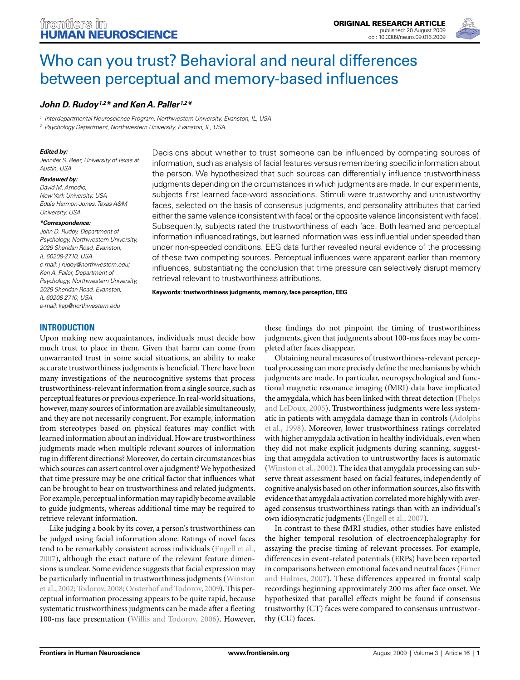

# Who can you trust? Behavioral and neural differences between perceptual and memory-based influences

# John D. Rudoy<sup>1,2\*</sup> and Ken A. Paller<sup>1,2\*</sup>

1 Interdepartmental Neuroscience Program, Northwestern University, Evanston, IL, USA

2 Psychology Department, Northwestern University, Evanston, IL, USA

#### **Edited by:**

Jennifer S. Beer, University of Texas at Austin, USA

#### **Reviewed by:**

David M. Amodio, New York University, USA Eddie Harmon-Jones, Texas A&M University, USA

#### **\*Correspondence:**

John D. Rudoy, Department of Psychology, Northwestern University, 2029 Sheridan Road, Evanston, IL 60208-2710, USA. e-mail: j-rudoy@northwestern.edu; Ken A. Paller, Department of Psychology, Northwestern University, 2029 Sheridan Road, Evanston, IL 60208-2710, USA. e-mail: kap@northwestern.edu

Decisions about whether to trust someone can be influenced by competing sources of information, such as analysis of facial features versus remembering specific information about the person. We hypothesized that such sources can differentially influence trustworthiness judgments depending on the circumstances in which judgments are made. In our experiments, subjects first learned face-word associations. Stimuli were trustworthy and untrustworthy faces, selected on the basis of consensus judgments, and personality attributes that carried either the same valence (consistent with face) or the opposite valence (inconsistent with face). Subsequently, subjects rated the trustworthiness of each face. Both learned and perceptual information influenced ratings, but learned information was less influential under speeded than under non-speeded conditions. EEG data further revealed neural evidence of the processing of these two competing sources. Perceptual influences were apparent earlier than memory influences, substantiating the conclusion that time pressure can selectively disrupt memory retrieval relevant to trustworthiness attributions.

**Keywords: trustworthiness judgments, memory, face perception, EEG**

# **INTRODUCTION**

Upon making new acquaintances, individuals must decide how much trust to place in them. Given that harm can come from unwarranted trust in some social situations, an ability to make accurate trustworthiness judgments is beneficial. There have been many investigations of the neurocognitive systems that process trustworthiness-relevant information from a single source, such as perceptual features or previous experience. In real-world situations, however, many sources of information are available simultaneously, and they are not necessarily congruent. For example, information from stereotypes based on physical features may conflict with learned information about an individual. How are trustworthiness judgments made when multiple relevant sources of information tug in different directions? Moreover, do certain circumstances bias which sources can assert control over a judgment? We hypothesized that time pressure may be one critical factor that influences what can be brought to bear on trustworthiness and related judgments. For example, perceptual information may rapidly become available to guide judgments, whereas additional time may be required to retrieve relevant information.

Like judging a book by its cover, a person's trustworthiness can be judged using facial information alone. Ratings of novel faces tend to be remarkably consistent across individuals (Engell et al., 2007), although the exact nature of the relevant feature dimensions is unclear. Some evidence suggests that facial expression may be particularly influential in trustworthiness judgments (Winston et al., 2002; Todorov, 2008; Oosterhof and Todorov, 2009). This perceptual information processing appears to be quite rapid, because systematic trustworthiness judgments can be made after a fleeting 100-ms face presentation (Willis and Todorov, 2006). However,

these findings do not pinpoint the timing of trustworthiness judgments, given that judgments about 100-ms faces may be completed after faces disappear.

Obtaining neural measures of trustworthiness-relevant perceptual processing can more precisely define the mechanisms by which judgments are made. In particular, neuropsychological and functional magnetic resonance imaging (fMRI) data have implicated the amygdala, which has been linked with threat detection (Phelps and LeDoux, 2005). Trustworthiness judgments were less systematic in patients with amygdala damage than in controls (Adolphs et al., 1998). Moreover, lower trustworthiness ratings correlated with higher amygdala activation in healthy individuals, even when they did not make explicit judgments during scanning, suggesting that amygdala activation to untrustworthy faces is automatic (Winston et al., 2002). The idea that amygdala processing can subserve threat assessment based on facial features, independently of cognitive analysis based on other information sources, also fits with evidence that amygdala activation correlated more highly with averaged consensus trustworthiness ratings than with an individual's own idiosyncratic judgments (Engell et al., 2007).

In contrast to these fMRI studies, other studies have enlisted the higher temporal resolution of electroencephalography for assaying the precise timing of relevant processes. For example, differences in event-related potentials (ERPs) have been reported in comparisons between emotional faces and neutral faces (Eimer and Holmes, 2007). These differences appeared in frontal scalp recordings beginning approximately 200 ms after face onset. We hypothesized that parallel effects might be found if consensus trustworthy (CT) faces were compared to consensus untrustworthy (CU) faces.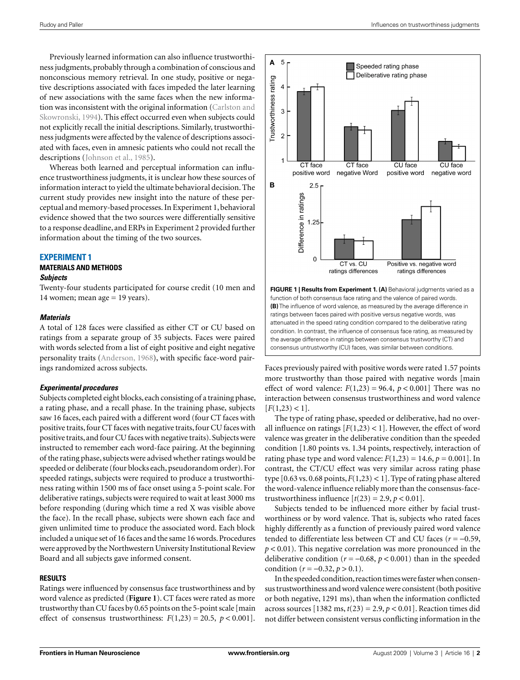Previously learned information can also influence trustworthiness judgments, probably through a combination of conscious and nonconscious memory retrieval. In one study, positive or negative descriptions associated with faces impeded the later learning of new associations with the same faces when the new information was inconsistent with the original information (Carlston and Skowronski, 1994). This effect occurred even when subjects could not explicitly recall the initial descriptions. Similarly, trustworthiness judgments were affected by the valence of descriptions associated with faces, even in amnesic patients who could not recall the descriptions (Johnson et al., 1985).

Whereas both learned and perceptual information can influence trustworthiness judgments, it is unclear how these sources of information interact to yield the ultimate behavioral decision. The current study provides new insight into the nature of these perceptual and memory-based processes. In Experiment 1, behavioral evidence showed that the two sources were differentially sensitive to a response deadline, and ERPs in Experiment 2 provided further information about the timing of the two sources.

#### **EXPERIMENT 1**

### **MATERIALS AND METHODS**

#### **Subjects**

Twenty-four students participated for course credit (10 men and 14 women; mean age  $= 19$  years).

#### **Materials**

A total of 128 faces were classified as either CT or CU based on ratings from a separate group of 35 subjects. Faces were paired with words selected from a list of eight positive and eight negative personality traits (Anderson, 1968), with specific face-word pairings randomized across subjects.

#### **Experimental procedures**

Subjects completed eight blocks, each consisting of a training phase, a rating phase, and a recall phase. In the training phase, subjects saw 16 faces, each paired with a different word (four CT faces with positive traits, four CT faces with negative traits, four CU faces with positive traits, and four CU faces with negative traits). Subjects were instructed to remember each word-face pairing. At the beginning of the rating phase, subjects were advised whether ratings would be speeded or deliberate (four blocks each, pseudorandom order). For speeded ratings, subjects were required to produce a trustworthiness rating within 1500 ms of face onset using a 5-point scale. For deliberative ratings, subjects were required to wait at least 3000 ms before responding (during which time a red X was visible above the face). In the recall phase, subjects were shown each face and given unlimited time to produce the associated word. Each block included a unique set of 16 faces and the same 16 words. Procedures were approved by the Northwestern University Institutional Review Board and all subjects gave informed consent.

#### **RESULTS**

Ratings were influenced by consensus face trustworthiness and by word valence as predicted (**Figure 1**). CT faces were rated as more trustworthy than CU faces by 0.65 points on the 5-point scale [main effect of consensus trustworthiness:  $F(1,23) = 20.5$ ,  $p < 0.001$ .



function of both consensus face rating and the valence of paired words. **(B)** The influence of word valence, as measured by the average difference in ratings between faces paired with positive versus negative words, was attenuated in the speed rating condition compared to the deliberative rating condition. In contrast, the influence of consensus face rating, as measured by the average difference in ratings between consensus trustworthy (CT) and consensus untrustworthy (CU) faces, was similar between conditions.

Faces previously paired with positive words were rated 1.57 points more trustworthy than those paired with negative words [main effect of word valence:  $F(1,23) = 96.4$ ,  $p < 0.001$  There was no interaction between consensus trustworthiness and word valence  $[F(1,23) < 1].$ 

The type of rating phase, speeded or deliberative, had no overall influence on ratings  $[F(1,23) < 1]$ . However, the effect of word valence was greater in the deliberative condition than the speeded condition [1.80 points vs. 1.34 points, respectively, interaction of rating phase type and word valence:  $F(1,23) = 14.6$ ,  $p = 0.001$ . In contrast, the CT/CU effect was very similar across rating phase type  $[0.63 \text{ vs. } 0.68 \text{ points}, F(1,23) < 1]$ . Type of rating phase altered the word-valence influence reliably more than the consensus-facetrustworthiness influence  $[t(23) = 2.9, p < 0.01]$ .

Subjects tended to be influenced more either by facial trustworthiness or by word valence. That is, subjects who rated faces highly differently as a function of previously paired word valence tended to differentiate less between CT and CU faces (*r* = −0.59, *p* < 0.01). This negative correlation was more pronounced in the deliberative condition ( $r = -0.68$ ,  $p < 0.001$ ) than in the speeded condition ( $r = -0.32$ ,  $p > 0.1$ ).

In the speeded condition, reaction times were faster when consensus trustworthiness and word valence were consistent (both positive or both negative, 1291 ms), than when the information conflicted across sources  $[1382 \text{ ms}, t(23) = 2.9, p < 0.01]$ . Reaction times did not differ between consistent versus conflicting information in the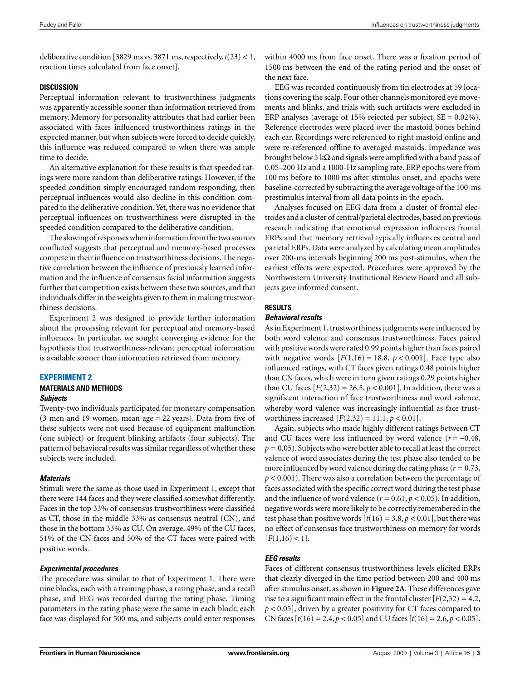deliberative condition [3829 ms vs. 3871 ms, respectively, *t*(23) < 1, reaction times calculated from face onset].

#### **DISCUSSION**

Perceptual information relevant to trustworthiness judgments was apparently accessible sooner than information retrieved from memory. Memory for personality attributes that had earlier been associated with faces influenced trustworthiness ratings in the expected manner, but when subjects were forced to decide quickly, this influence was reduced compared to when there was ample time to decide.

An alternative explanation for these results is that speeded ratings were more random than deliberative ratings. However, if the speeded condition simply encouraged random responding, then perceptual influences would also decline in this condition compared to the deliberative condition. Yet, there was no evidence that perceptual influences on trustworthiness were disrupted in the speeded condition compared to the deliberative condition.

The slowing of responses when information from the two sources conflicted suggests that perceptual and memory-based processes compete in their influence on trustworthiness decisions. The negative correlation between the influence of previously learned information and the influence of consensus facial information suggests further that competition exists between these two sources, and that individuals differ in the weights given to them in making trustworthiness decisions.

Experiment 2 was designed to provide further information about the processing relevant for perceptual and memory-based influences. In particular, we sought converging evidence for the hypothesis that trustworthiness-relevant perceptual information is available sooner than information retrieved from memory.

#### **EXPERIMENT 2**

# **MATERIALS AND METHODS**

## **Subjects**

Twenty-two individuals participated for monetary compensation (3 men and 19 women, mean age  $= 22$  years). Data from five of these subjects were not used because of equipment malfunction (one subject) or frequent blinking artifacts (four subjects). The pattern of behavioral results was similar regardless of whether these subjects were included.

#### **Materials**

Stimuli were the same as those used in Experiment 1, except that there were 144 faces and they were classified somewhat differently. Faces in the top 33% of consensus trustworthiness were classified as CT, those in the middle 33% as consensus neutral (CN), and those in the bottom 33% as CU. On average, 49% of the CU faces, 51% of the CN faces and 50% of the CT faces were paired with positive words.

#### **Experimental procedures**

The procedure was similar to that of Experiment 1. There were nine blocks, each with a training phase, a rating phase, and a recall phase, and EEG was recorded during the rating phase. Timing parameters in the rating phase were the same in each block; each face was displayed for 500 ms, and subjects could enter responses

within 4000 ms from face onset. There was a fixation period of 1500 ms between the end of the rating period and the onset of the next face.

EEG was recorded continuously from tin electrodes at 59 locations covering the scalp. Four other channels monitored eye movements and blinks, and trials with such artifacts were excluded in ERP analyses (average of 15% rejected per subject,  $SE = 0.02\%$ ). Reference electrodes were placed over the mastoid bones behind each ear. Recordings were referenced to right mastoid online and were re-referenced offline to averaged mastoids. Impedance was brought below 5 k $\Omega$  and signals were amplified with a band pass of 0.05–200 Hz and a 1000-Hz sampling rate. ERP epochs were from 100 ms before to 1000 ms after stimulus onset, and epochs were baseline-corrected by subtracting the average voltage of the 100-ms prestimulus interval from all data points in the epoch.

Analyses focused on EEG data from a cluster of frontal electrodes and a cluster of central/parietal electrodes, based on previous research indicating that emotional expression influences frontal ERPs and that memory retrieval typically influences central and parietal ERPs. Data were analyzed by calculating mean amplitudes over 200-ms intervals beginning 200 ms post-stimulus, when the earliest effects were expected. Procedures were approved by the Northwestern University Institutional Review Board and all subjects gave informed consent.

#### **RESULTS**

#### **Behavioral results**

As in Experiment 1, trustworthiness judgments were influenced by both word valence and consensus trustworthiness. Faces paired with positive words were rated 0.99 points higher than faces paired with negative words  $[F(1,16) = 18.8, p < 0.001]$ . Face type also influenced ratings, with CT faces given ratings 0.48 points higher than CN faces, which were in turn given ratings 0.29 points higher than CU faces  $[F(2,32) = 26.5, p < 0.001]$ . In addition, there was a significant interaction of face trustworthiness and word valence, whereby word valence was increasingly influential as face trustworthiness increased  $[F(2,32) = 11.1, p < 0.01]$ .

Again, subjects who made highly different ratings between CT and CU faces were less influenced by word valence  $(r = -0.48,$  $p = 0.05$ ). Subjects who were better able to recall at least the correct valence of word associates during the test phase also tended to be more influenced by word valence during the rating phase  $(r = 0.73,$ *p* < 0.001). There was also a correlation between the percentage of faces associated with the specific correct word during the test phase and the influence of word valence  $(r = 0.61, p < 0.05)$ . In addition, negative words were more likely to be correctly remembered in the test phase than positive words  $[t(16) = 3.8, p < 0.01]$ , but there was no effect of consensus face trustworthiness on memory for words  $[F(1,16) < 1].$ 

# **EEG results**

Faces of different consensus trustworthiness levels elicited ERPs that clearly diverged in the time period between 200 and 400 ms after stimulus onset, as shown in **Figure 2A**. These differences gave rise to a significant main effect in the frontal cluster  $[F(2,32) = 4.2,$ *p* < 0.05], driven by a greater positivity for CT faces compared to CN faces  $[t(16) = 2.4, p < 0.05]$  and CU faces  $[t(16) = 2.6, p < 0.05]$ .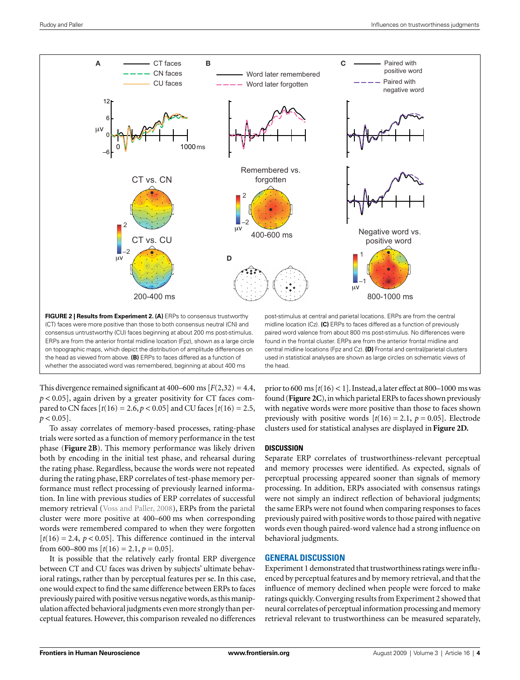

(CT) faces were more positive than those to both consensus neutral (CN) and consensus untrustworthy (CU) faces beginning at about 200 ms post-stimulus. ERPs are from the anterior frontal midline location (Fpz), shown as a large circle on topographic maps, which depict the distribution of amplitude differences on the head as viewed from above. **(B)** ERPs to faces differed as a function of whether the associated word was remembered, beginning at about 400 ms

midline location (Cz). **(C)** ERPs to faces differed as a function of previously paired word valence from about 800 ms post-stimulus. No differences were found in the frontal cluster. ERPs are from the anterior frontal midline and central midline locations (Fpz and Cz). **(D)** Frontal and central/parietal clusters used in statistical analyses are shown as large circles on schematic views of the head.

This divergence remained significant at 400–600 ms  $[F(2,32) = 4.4,$  $p < 0.05$ ], again driven by a greater positivity for CT faces compared to CN faces  $[t(16) = 2.6, p < 0.05]$  and CU faces  $[t(16) = 2.5,$  $p < 0.05$ ].

To assay correlates of memory-based processes, rating-phase trials were sorted as a function of memory performance in the test phase (**Figure 2B**). This memory performance was likely driven both by encoding in the initial test phase, and rehearsal during the rating phase. Regardless, because the words were not repeated during the rating phase, ERP correlates of test-phase memory performance must reflect processing of previously learned information. In line with previous studies of ERP correlates of successful memory retrieval (Voss and Paller, 2008), ERPs from the parietal cluster were more positive at 400–600 ms when corresponding words were remembered compared to when they were forgotten  $[t(16) = 2.4, p < 0.05]$ . This difference continued in the interval from 600–800 ms  $[t(16) = 2.1, p = 0.05]$ .

It is possible that the relatively early frontal ERP divergence between CT and CU faces was driven by subjects' ultimate behavioral ratings, rather than by perceptual features per se. In this case, one would expect to find the same difference between ERPs to faces previously paired with positive versus negative words, as this manipulation affected behavioral judgments even more strongly than perceptual features. However, this comparison revealed no differences

prior to 600 ms [*t*(16) < 1]. Instead, a later effect at 800–1000 ms was found (**Figure 2C**), in which parietal ERPs to faces shown previously with negative words were more positive than those to faces shown previously with positive words  $[t(16) = 2.1, p = 0.05]$ . Electrode clusters used for statistical analyses are displayed in **Figure 2D.**

# **DISCUSSION**

Separate ERP correlates of trustworthiness-relevant perceptual and memory processes were identified. As expected, signals of perceptual processing appeared sooner than signals of memory processing. In addition, ERPs associated with consensus ratings were not simply an indirect reflection of behavioral judgments; the same ERPs were not found when comparing responses to faces previously paired with positive words to those paired with negative words even though paired-word valence had a strong influence on behavioral judgments.

# **GENERAL DISCUSSION**

Experiment 1 demonstrated that trustworthiness ratings were influenced by perceptual features and by memory retrieval, and that the influence of memory declined when people were forced to make ratings quickly. Converging results from Experiment 2 showed that neural correlates of perceptual information processing and memory retrieval relevant to trustworthiness can be measured separately,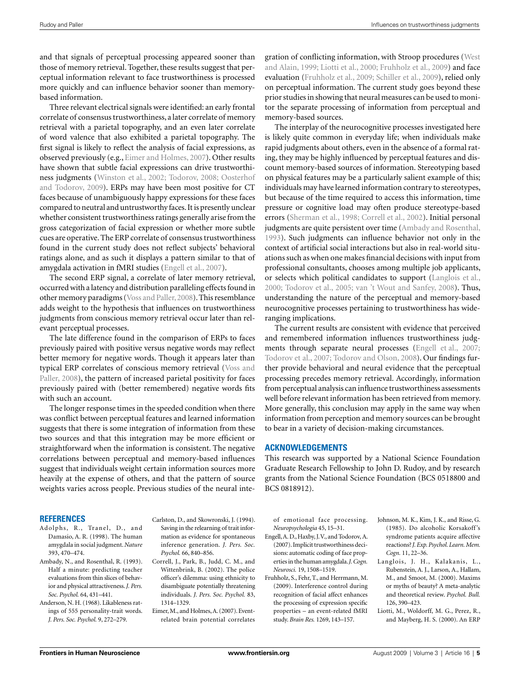and that signals of perceptual processing appeared sooner than those of memory retrieval. Together, these results suggest that perceptual information relevant to face trustworthiness is processed more quickly and can influence behavior sooner than memorybased information.

Three relevant electrical signals were identified: an early frontal correlate of consensus trustworthiness, a later correlate of memory retrieval with a parietal topography, and an even later correlate of word valence that also exhibited a parietal topography. The first signal is likely to reflect the analysis of facial expressions, as observed previously (e.g., Eimer and Holmes, 2007). Other results have shown that subtle facial expressions can drive trustworthiness judgments (Winston et al., 2002; Todorov, 2008; Oosterhof and Todorov, 2009). ERPs may have been most positive for CT faces because of unambiguously happy expressions for these faces compared to neutral and untrustworthy faces. It is presently unclear whether consistent trustworthiness ratings generally arise from the gross categorization of facial expression or whether more subtle cues are operative. The ERP correlate of consensus trustworthiness found in the current study does not reflect subjects' behavioral ratings alone, and as such it displays a pattern similar to that of amygdala activation in fMRI studies (Engell et al., 2007).

The second ERP signal, a correlate of later memory retrieval, occurred with a latency and distribution paralleling effects found in other memory paradigms (Voss and Paller, 2008). This resemblance adds weight to the hypothesis that influences on trustworthiness judgments from conscious memory retrieval occur later than relevant perceptual processes.

The late difference found in the comparison of ERPs to faces previously paired with positive versus negative words may reflect better memory for negative words. Though it appears later than typical ERP correlates of conscious memory retrieval (Voss and Paller, 2008), the pattern of increased parietal positivity for faces previously paired with (better remembered) negative words fits with such an account.

The longer response times in the speeded condition when there was conflict between perceptual features and learned information suggests that there is some integration of information from these two sources and that this integration may be more efficient or straightforward when the information is consistent. The negative correlations between perceptual and memory-based influences suggest that individuals weight certain information sources more heavily at the expense of others, and that the pattern of source weights varies across people. Previous studies of the neural inte-

#### **REFERENCES**

- Adolphs, R., Tranel, D., and Damasio, A. R. (1998). The human amygdala in social judgment. *Nature* 393, 470–474.
- Ambady, N., and Rosenthal, R. (1993). Half a minute: predicting teacher evaluations from thin slices of behavior and physical attractiveness. *J. Pers. Soc. Psychol.* 64, 431–441.
- Anderson, N. H. (1968). Likableness ratings of 555 personality-trait words. *J. Pers. Soc. Psychol.* 9, 272–279.
- Carlston, D., and Skowronski, J. (1994). Saving in the relearning of trait information as evidence for spontaneous inference generation. *J. Pers. Soc. Psychol.* 66, 840–856.
- Correll, J., Park, B., Judd, C. M., and Wittenbrink, B. (2002). The police officer's dilemma: using ethnicity to disambiguate potentially threatening individuals. *J. Pers. Soc. Psychol.* 83, 1314–1329.
- Eimer, M., and Holmes, A. (2007). Eventrelated brain potential correlates

gration of conflicting information, with Stroop procedures (West and Alain, 1999; Liotti et al., 2000; Fruhholz et al., 2009) and face evaluation (Fruhholz et al., 2009; Schiller et al., 2009), relied only on perceptual information. The current study goes beyond these prior studies in showing that neural measures can be used to monitor the separate processing of information from perceptual and memory-based sources.

The interplay of the neurocognitive processes investigated here is likely quite common in everyday life; when individuals make rapid judgments about others, even in the absence of a formal rating, they may be highly influenced by perceptual features and discount memory-based sources of information. Stereotyping based on physical features may be a particularly salient example of this; individuals may have learned information contrary to stereotypes, but because of the time required to access this information, time pressure or cognitive load may often produce stereotype-based errors (Sherman et al., 1998; Correll et al., 2002). Initial personal judgments are quite persistent over time (Ambady and Rosenthal, 1993). Such judgments can influence behavior not only in the context of artificial social interactions but also in real-world situations such as when one makes financial decisions with input from professional consultants, chooses among multiple job applicants, or selects which political candidates to support (Langlois et al., 2000; Todorov et al., 2005; van 't Wout and Sanfey, 2008). Thus, understanding the nature of the perceptual and memory-based neurocognitive processes pertaining to trustworthiness has wideranging implications.

The current results are consistent with evidence that perceived and remembered information influences trustworthiness judgments through separate neural processes (Engell et al., 2007; Todorov et al., 2007; Todorov and Olson, 2008). Our findings further provide behavioral and neural evidence that the perceptual processing precedes memory retrieval. Accordingly, information from perceptual analysis can influence trustworthiness assessments well before relevant information has been retrieved from memory. More generally, this conclusion may apply in the same way when information from perception and memory sources can be brought to bear in a variety of decision-making circumstances.

#### **ACKNOWLEDGEMENTS**

This research was supported by a National Science Foundation Graduate Research Fellowship to John D. Rudoy, and by research grants from the National Science Foundation (BCS 0518800 and BCS 0818912).

of emotional face processing. *Neuropsychologia* 45, 15–31.

- Engell, A. D., Haxby, J. V., and Todorov, A. (2007). Implicit trustworthiness decisions: automatic coding of face properties in the human amygdala. *J. Cogn. Neurosci.* 19, 1508–1519.
- Fruhholz, S., Fehr, T., and Herrmann, M. (2009). Interference control during recognition of facial affect enhances the processing of expression specific properties – an event-related fMRI study. *Brain Res.* 1269, 143–157.
- Johnson, M. K., Kim, J. K., and Risse, G. (1985). Do alcoholic Korsakoff 's syndrome patients acquire affective reactions? *J. Exp. Psychol. Learn. Mem. Cogn.* 11, 22–36.
- Langlois, J. H., Kalakanis, L., Rubenstein, A. J., Larson, A., Hallam, M., and Smoot, M. (2000). Maxims or myths of beauty? A meta-analytic and theoretical review. *Psychol. Bull.* 126, 390–423.
- Liotti, M., Woldorff, M. G., Perez, R., and Mayberg, H. S. (2000). An ERP